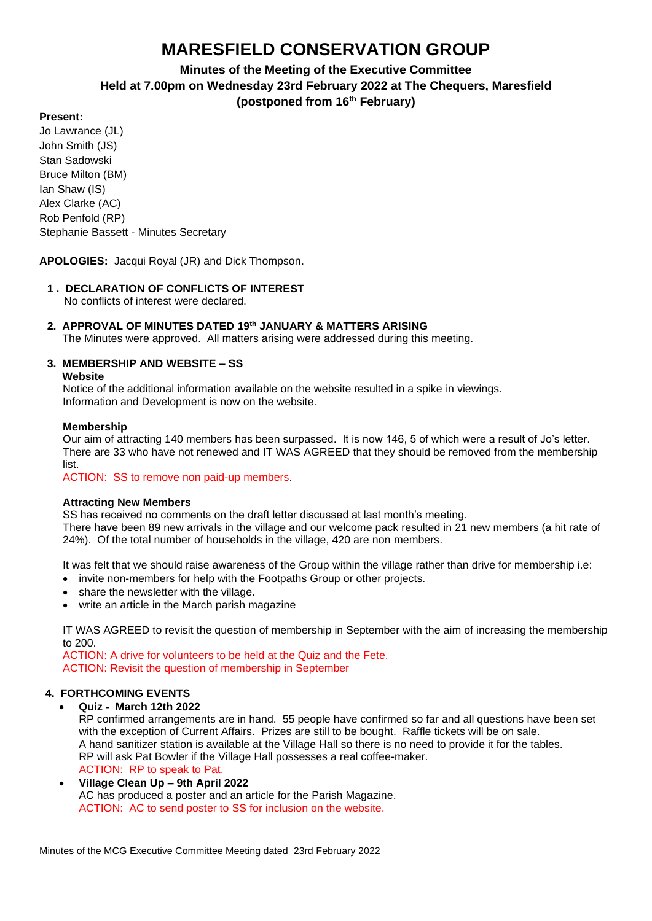# **MARESFIELD CONSERVATION GROUP**

## **Minutes of the Meeting of the Executive Committee Held at 7.00pm on Wednesday 23rd February 2022 at The Chequers, Maresfield (postponed from 16th February)**

#### **Present:**

Jo Lawrance (JL) John Smith (JS) Stan Sadowski Bruce Milton (BM) Ian Shaw (IS) Alex Clarke (AC) Rob Penfold (RP) Stephanie Bassett - Minutes Secretary

**APOLOGIES:** Jacqui Royal (JR) and Dick Thompson.

- **1 . DECLARATION OF CONFLICTS OF INTEREST** No conflicts of interest were declared.
- **2. APPROVAL OF MINUTES DATED 19th JANUARY & MATTERS ARISING** The Minutes were approved. All matters arising were addressed during this meeting.

## **3. MEMBERSHIP AND WEBSITE – SS**

 **Website**

Notice of the additional information available on the website resulted in a spike in viewings. Information and Development is now on the website.

#### **Membership**

Our aim of attracting 140 members has been surpassed. It is now 146, 5 of which were a result of Jo's letter. There are 33 who have not renewed and IT WAS AGREED that they should be removed from the membership list.

ACTION: SS to remove non paid-up members.

#### **Attracting New Members**

SS has received no comments on the draft letter discussed at last month's meeting. There have been 89 new arrivals in the village and our welcome pack resulted in 21 new members (a hit rate of 24%). Of the total number of households in the village, 420 are non members.

It was felt that we should raise awareness of the Group within the village rather than drive for membership i.e:

- invite non-members for help with the Footpaths Group or other projects.
- share the newsletter with the village.
- write an article in the March parish magazine

IT WAS AGREED to revisit the question of membership in September with the aim of increasing the membership to 200.

ACTION: A drive for volunteers to be held at the Quiz and the Fete. ACTION: Revisit the question of membership in September

## **4. FORTHCOMING EVENTS**

• **Quiz - March 12th 2022** 

RP confirmed arrangements are in hand. 55 people have confirmed so far and all questions have been set with the exception of Current Affairs. Prizes are still to be bought. Raffle tickets will be on sale. A hand sanitizer station is available at the Village Hall so there is no need to provide it for the tables. RP will ask Pat Bowler if the Village Hall possesses a real coffee-maker. ACTION: RP to speak to Pat.

• **Village Clean Up – 9th April 2022** AC has produced a poster and an article for the Parish Magazine. ACTION: AC to send poster to SS for inclusion on the website.

Minutes of the MCG Executive Committee Meeting dated 23rd February 2022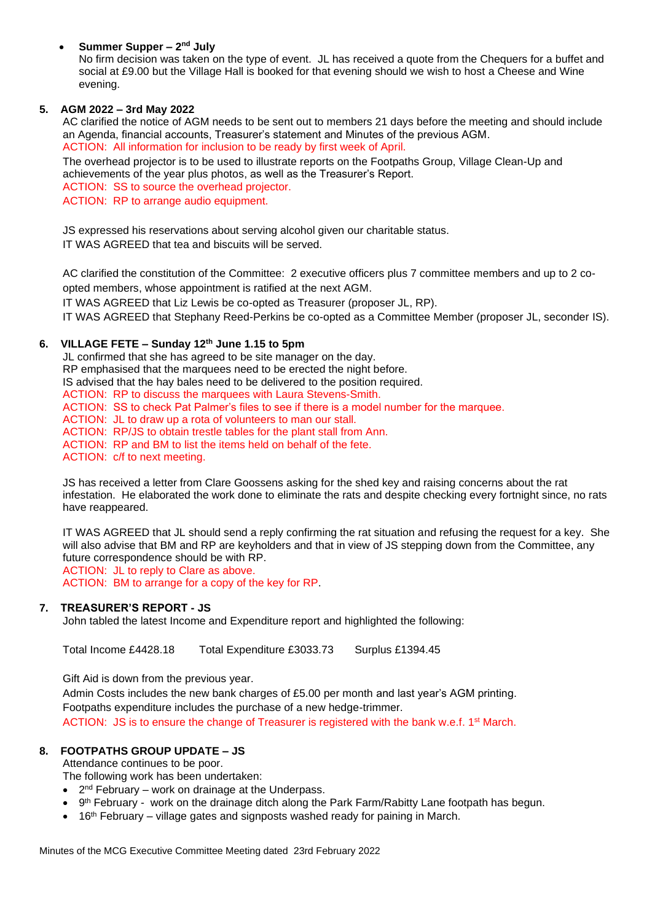### • Summer Supper – 2<sup>nd</sup> July

No firm decision was taken on the type of event. JL has received a quote from the Chequers for a buffet and social at £9.00 but the Village Hall is booked for that evening should we wish to host a Cheese and Wine evening.

#### **5. AGM 2022 – 3rd May 2022**

AC clarified the notice of AGM needs to be sent out to members 21 days before the meeting and should include an Agenda, financial accounts, Treasurer's statement and Minutes of the previous AGM. ACTION: All information for inclusion to be ready by first week of April.

The overhead projector is to be used to illustrate reports on the Footpaths Group, Village Clean-Up and achievements of the year plus photos, as well as the Treasurer's Report.

ACTION: SS to source the overhead projector.

ACTION: RP to arrange audio equipment.

JS expressed his reservations about serving alcohol given our charitable status. IT WAS AGREED that tea and biscuits will be served.

AC clarified the constitution of the Committee: 2 executive officers plus 7 committee members and up to 2 coopted members, whose appointment is ratified at the next AGM.

IT WAS AGREED that Liz Lewis be co-opted as Treasurer (proposer JL, RP).

IT WAS AGREED that Stephany Reed-Perkins be co-opted as a Committee Member (proposer JL, seconder IS).

#### **6. VILLAGE FETE – Sunday 12th June 1.15 to 5pm**

JL confirmed that she has agreed to be site manager on the day. RP emphasised that the marquees need to be erected the night before. IS advised that the hay bales need to be delivered to the position required. ACTION: RP to discuss the marquees with Laura Stevens-Smith. ACTION: SS to check Pat Palmer's files to see if there is a model number for the marquee. ACTION: JL to draw up a rota of volunteers to man our stall. ACTION: RP/JS to obtain trestle tables for the plant stall from Ann. ACTION: RP and BM to list the items held on behalf of the fete. ACTION: c/f to next meeting.

JS has received a letter from Clare Goossens asking for the shed key and raising concerns about the rat infestation. He elaborated the work done to eliminate the rats and despite checking every fortnight since, no rats have reappeared.

IT WAS AGREED that JL should send a reply confirming the rat situation and refusing the request for a key. She will also advise that BM and RP are keyholders and that in view of JS stepping down from the Committee, any future correspondence should be with RP. ACTION: JL to reply to Clare as above.

ACTION: BM to arrange for a copy of the key for RP.

#### **7. TREASURER'S REPORT - JS**

John tabled the latest Income and Expenditure report and highlighted the following:

Total Income £4428.18 Total Expenditure £3033.73 Surplus £1394.45

Gift Aid is down from the previous year.

Admin Costs includes the new bank charges of £5.00 per month and last year's AGM printing. Footpaths expenditure includes the purchase of a new hedge-trimmer. ACTION: JS is to ensure the change of Treasurer is registered with the bank w.e.f. 1<sup>st</sup> March.

## **8. FOOTPATHS GROUP UPDATE – JS**

Attendance continues to be poor.

The following work has been undertaken:

- 2<sup>nd</sup> February work on drainage at the Underpass.
- 9<sup>th</sup> February work on the drainage ditch along the Park Farm/Rabitty Lane footpath has begun.
- $\bullet$  16<sup>th</sup> February village gates and signposts washed ready for paining in March.

Minutes of the MCG Executive Committee Meeting dated 23rd February 2022